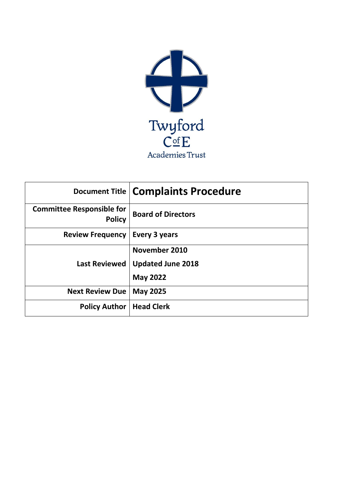

|                                                   | Document Title   Complaints Procedure |
|---------------------------------------------------|---------------------------------------|
| <b>Committee Responsible for</b><br><b>Policy</b> | <b>Board of Directors</b>             |
| <b>Review Frequency</b>                           | Every 3 years                         |
|                                                   | November 2010                         |
| <b>Last Reviewed</b>                              | <b>Updated June 2018</b>              |
|                                                   | <b>May 2022</b>                       |
| <b>Next Review Due</b>                            | <b>May 2025</b>                       |
| <b>Policy Author</b>                              | <b>Head Clerk</b>                     |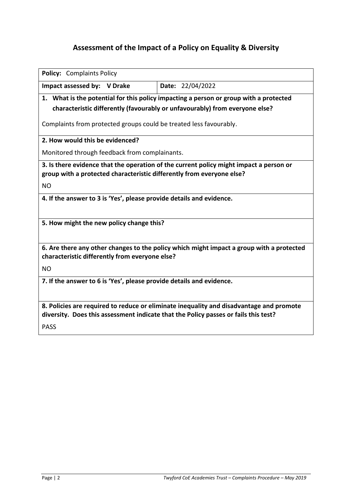# **Assessment of the Impact of a Policy on Equality & Diversity**

| <b>Policy: Complaints Policy</b>                                                                                                                                |                                                                                       |  |
|-----------------------------------------------------------------------------------------------------------------------------------------------------------------|---------------------------------------------------------------------------------------|--|
| Impact assessed by: V Drake                                                                                                                                     | Date: 22/04/2022                                                                      |  |
|                                                                                                                                                                 | 1. What is the potential for this policy impacting a person or group with a protected |  |
|                                                                                                                                                                 | characteristic differently (favourably or unfavourably) from everyone else?           |  |
| Complaints from protected groups could be treated less favourably.                                                                                              |                                                                                       |  |
| 2. How would this be evidenced?                                                                                                                                 |                                                                                       |  |
| Monitored through feedback from complainants.                                                                                                                   |                                                                                       |  |
| 3. Is there evidence that the operation of the current policy might impact a person or<br>group with a protected characteristic differently from everyone else? |                                                                                       |  |
| <b>NO</b>                                                                                                                                                       |                                                                                       |  |
| 4. If the answer to 3 is 'Yes', please provide details and evidence.                                                                                            |                                                                                       |  |
|                                                                                                                                                                 |                                                                                       |  |
| 5. How might the new policy change this?                                                                                                                        |                                                                                       |  |
|                                                                                                                                                                 |                                                                                       |  |
| 6. Are there any other changes to the policy which might impact a group with a protected<br>characteristic differently from everyone else?                      |                                                                                       |  |
| <b>NO</b>                                                                                                                                                       |                                                                                       |  |
| 7. If the answer to 6 is 'Yes', please provide details and evidence.                                                                                            |                                                                                       |  |
|                                                                                                                                                                 |                                                                                       |  |
| 8. Policies are required to reduce or eliminate inequality and disadvantage and promote                                                                         |                                                                                       |  |
| diversity. Does this assessment indicate that the Policy passes or fails this test?                                                                             |                                                                                       |  |
| <b>PASS</b>                                                                                                                                                     |                                                                                       |  |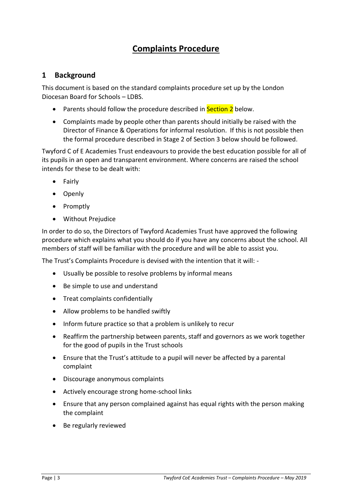# **Complaints Procedure**

### **1 Background**

This document is based on the standard complaints procedure set up by the London Diocesan Board for Schools – LDBS.

- Parents should follow the procedure described in Section 2 below.
- Complaints made by people other than parents should initially be raised with the Director of Finance & Operations for informal resolution. If this is not possible then the formal procedure described in Stage 2 of Section 3 below should be followed.

Twyford C of E Academies Trust endeavours to provide the best education possible for all of its pupils in an open and transparent environment. Where concerns are raised the school intends for these to be dealt with:

- Fairly
- Openly
- Promptly
- Without Prejudice

In order to do so, the Directors of Twyford Academies Trust have approved the following procedure which explains what you should do if you have any concerns about the school. All members of staff will be familiar with the procedure and will be able to assist you.

The Trust's Complaints Procedure is devised with the intention that it will: -

- Usually be possible to resolve problems by informal means
- Be simple to use and understand
- Treat complaints confidentially
- Allow problems to be handled swiftly
- Inform future practice so that a problem is unlikely to recur
- Reaffirm the partnership between parents, staff and governors as we work together for the good of pupils in the Trust schools
- Ensure that the Trust's attitude to a pupil will never be affected by a parental complaint
- Discourage anonymous complaints
- Actively encourage strong home-school links
- Ensure that any person complained against has equal rights with the person making the complaint
- Be regularly reviewed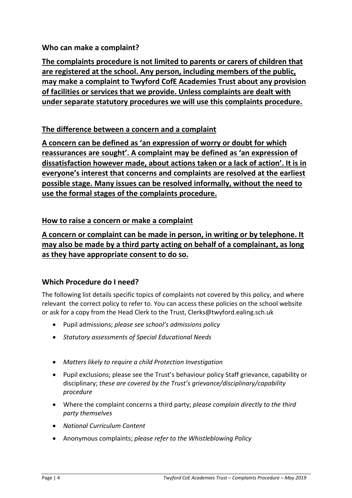# **Who can make a complaint?**

**The complaints procedure is not limited to parents or carers of children that are registered at the school. Any person, including members of the public, may make a complaint to Twyford CofE Academies Trust about any provision of facilities or services that we provide. Unless complaints are dealt with under separate statutory procedures we will use this complaints procedure.** 

# **The difference between a concern and a complaint**

**A concern can be defined as 'an expression of worry or doubt for which reassurances are sought'. A complaint may be defined as 'an expression of dissatisfaction however made, about actions taken or a lack of action'. It is in everyone's interest that concerns and complaints are resolved at the earliest possible stage. Many issues can be resolved informally, without the need to use the formal stages of the complaints procedure.** 

# **How to raise a concern or make a complaint**

**A concern or complaint can be made in person, in writing or by telephone. It may also be made by a third party acting on behalf of a complainant, as long as they have appropriate consent to do so.** 

# **Which Procedure do I need?**

The following list details specific topics of complaints not covered by this policy, and where relevant the correct policy to refer to. You can access these policies on the school website or ask for a copy from the Head Clerk to the Trust, Clerks@twyford.ealing.sch.uk

- Pupil admissions; *please see school's admissions policy*
- *Statutory assessments of Special Educational Needs*
- *Matters likely to require a child Protection Investigation*
- Pupil exclusions; please see the Trust's behaviour policy Staff grievance, capability or disciplinary; *these are covered by the Trust's grievance/disciplinary/capability procedure*
- Where the complaint concerns a third party; *please complain directly to the third party themselves*
- *National Curriculum Content*
- Anonymous complaints; *please refer to the Whistleblowing Policy*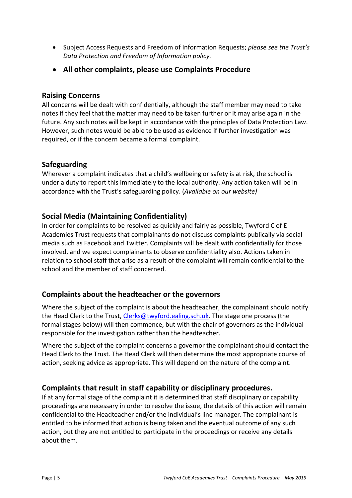- Subject Access Requests and Freedom of Information Requests; *please see the Trust's Data Protection and Freedom of Information policy.*
- **All other complaints, please use Complaints Procedure**

#### **Raising Concerns**

All concerns will be dealt with confidentially, although the staff member may need to take notes if they feel that the matter may need to be taken further or it may arise again in the future. Any such notes will be kept in accordance with the principles of Data Protection Law. However, such notes would be able to be used as evidence if further investigation was required, or if the concern became a formal complaint.

### **Safeguarding**

Wherever a complaint indicates that a child's wellbeing or safety is at risk, the school is under a duty to report this immediately to the local authority. Any action taken will be in accordance with the Trust's safeguarding policy. (*Available on our website)*

### **Social Media (Maintaining Confidentiality)**

In order for complaints to be resolved as quickly and fairly as possible, Twyford C of E Academies Trust requests that complainants do not discuss complaints publically via social media such as Facebook and Twitter. Complaints will be dealt with confidentially for those involved, and we expect complainants to observe confidentiality also. Actions taken in relation to school staff that arise as a result of the complaint will remain confidential to the school and the member of staff concerned.

### **Complaints about the headteacher or the governors**

Where the subject of the complaint is about the headteacher, the complainant should notify the Head Clerk to the Trust, [Clerks@twyford.ealing.sch.uk.](mailto:Clerks@twyford.ealing.sch.uk) The stage one process (the formal stages below) will then commence, but with the chair of governors as the individual responsible for the investigation rather than the headteacher.

Where the subject of the complaint concerns a governor the complainant should contact the Head Clerk to the Trust. The Head Clerk will then determine the most appropriate course of action, seeking advice as appropriate. This will depend on the nature of the complaint.

### **Complaints that result in staff capability or disciplinary procedures.**

If at any formal stage of the complaint it is determined that staff disciplinary or capability proceedings are necessary in order to resolve the issue, the details of this action will remain confidential to the Headteacher and/or the individual's line manager. The complainant is entitled to be informed that action is being taken and the eventual outcome of any such action, but they are not entitled to participate in the proceedings or receive any details about them.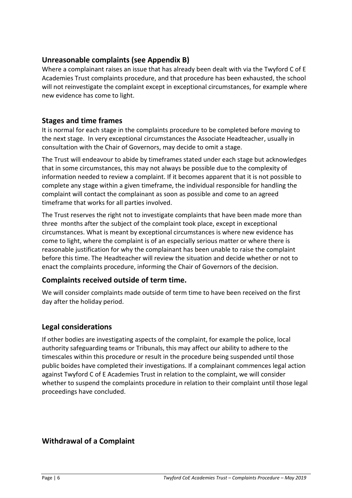### **Unreasonable complaints (see Appendix B)**

Where a complainant raises an issue that has already been dealt with via the Twyford C of E Academies Trust complaints procedure, and that procedure has been exhausted, the school will not reinvestigate the complaint except in exceptional circumstances, for example where new evidence has come to light.

### **Stages and time frames**

It is normal for each stage in the complaints procedure to be completed before moving to the next stage. In very exceptional circumstances the Associate Headteacher, usually in consultation with the Chair of Governors, may decide to omit a stage.

The Trust will endeavour to abide by timeframes stated under each stage but acknowledges that in some circumstances, this may not always be possible due to the complexity of information needed to review a complaint. If it becomes apparent that it is not possible to complete any stage within a given timeframe, the individual responsible for handling the complaint will contact the complainant as soon as possible and come to an agreed timeframe that works for all parties involved.

The Trust reserves the right not to investigate complaints that have been made more than three months after the subject of the complaint took place, except in exceptional circumstances. What is meant by exceptional circumstances is where new evidence has come to light, where the complaint is of an especially serious matter or where there is reasonable justification for why the complainant has been unable to raise the complaint before this time. The Headteacher will review the situation and decide whether or not to enact the complaints procedure, informing the Chair of Governors of the decision.

### **Complaints received outside of term time.**

We will consider complaints made outside of term time to have been received on the first day after the holiday period.

# **Legal considerations**

If other bodies are investigating aspects of the complaint, for example the police, local authority safeguarding teams or Tribunals, this may affect our ability to adhere to the timescales within this procedure or result in the procedure being suspended until those public boides have completed their investigations. If a complainant commences legal action against Twyford C of E Academies Trust in relation to the complaint, we will consider whether to suspend the complaints procedure in relation to their complaint until those legal proceedings have concluded.

# **Withdrawal of a Complaint**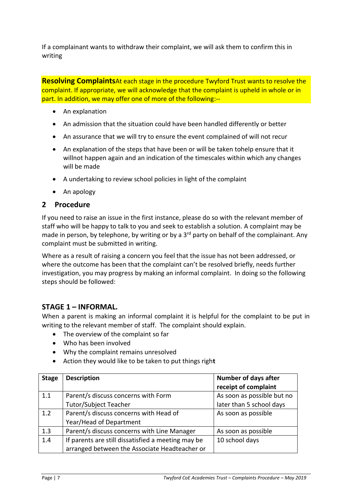If a complainant wants to withdraw their complaint, we will ask them to confirm this in writing

**Resolving Complaints**At each stage in the procedure Twyford Trust wants to resolve the complaint. If appropriate, we will acknowledge that the complaint is upheld in whole or in part. In addition, we may offer one of more of the following:--

- An explanation
- An admission that the situation could have been handled differently or better
- An assurance that we will try to ensure the event complained of will not recur
- An explanation of the steps that have been or will be taken tohelp ensure that it willnot happen again and an indication of the timescales within which any changes will be made
- A undertaking to review school policies in light of the complaint
- An apology

### **2 Procedure**

If you need to raise an issue in the first instance, please do so with the relevant member of staff who will be happy to talk to you and seek to establish a solution. A complaint may be made in person, by telephone, by writing or by a 3<sup>rd</sup> party on behalf of the complainant. Any complaint must be submitted in writing.

Where as a result of raising a concern you feel that the issue has not been addressed, or where the outcome has been that the complaint can't be resolved briefly, needs further investigation, you may progress by making an informal complaint. In doing so the following steps should be followed:

### **STAGE 1 – INFORMAL.**

When a parent is making an informal complaint it is helpful for the complaint to be put in writing to the relevant member of staff. The complaint should explain.

- The overview of the complaint so far
- Who has been involved
- Why the complaint remains unresolved
- Action they would like to be taken to put things righ**t**

| <b>Stage</b> | <b>Description</b>                                 | <b>Number of days after</b> |
|--------------|----------------------------------------------------|-----------------------------|
|              |                                                    | receipt of complaint        |
| 1.1          | Parent/s discuss concerns with Form                | As soon as possible but no  |
|              | <b>Tutor/Subject Teacher</b>                       | later than 5 school days    |
| 1.2          | Parent/s discuss concerns with Head of             | As soon as possible         |
|              | Year/Head of Department                            |                             |
| 1.3          | Parent/s discuss concerns with Line Manager        | As soon as possible         |
| 1.4          | If parents are still dissatisfied a meeting may be | 10 school days              |
|              | arranged between the Associate Headteacher or      |                             |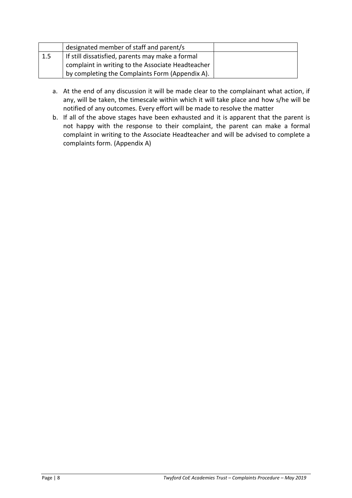|     | designated member of staff and parent/s           |  |
|-----|---------------------------------------------------|--|
| 1.5 | If still dissatisfied, parents may make a formal  |  |
|     | complaint in writing to the Associate Headteacher |  |
|     | by completing the Complaints Form (Appendix A).   |  |

- a. At the end of any discussion it will be made clear to the complainant what action, if any, will be taken, the timescale within which it will take place and how s/he will be notified of any outcomes. Every effort will be made to resolve the matter
- b. If all of the above stages have been exhausted and it is apparent that the parent is not happy with the response to their complaint, the parent can make a formal complaint in writing to the Associate Headteacher and will be advised to complete a complaints form. (Appendix A)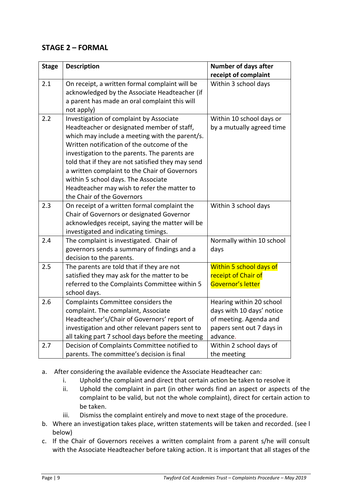### **STAGE 2 – FORMAL**

| <b>Stage</b> | <b>Description</b>                                                                                                                                                                                                                                                                                                                                                                                                                                               | <b>Number of days after</b><br>receipt of complaint                                                                      |
|--------------|------------------------------------------------------------------------------------------------------------------------------------------------------------------------------------------------------------------------------------------------------------------------------------------------------------------------------------------------------------------------------------------------------------------------------------------------------------------|--------------------------------------------------------------------------------------------------------------------------|
| 2.1          | On receipt, a written formal complaint will be<br>acknowledged by the Associate Headteacher (if<br>a parent has made an oral complaint this will<br>not apply)                                                                                                                                                                                                                                                                                                   | Within 3 school days                                                                                                     |
| 2.2          | Investigation of complaint by Associate<br>Headteacher or designated member of staff,<br>which may include a meeting with the parent/s.<br>Written notification of the outcome of the<br>investigation to the parents. The parents are<br>told that if they are not satisfied they may send<br>a written complaint to the Chair of Governors<br>within 5 school days. The Associate<br>Headteacher may wish to refer the matter to<br>the Chair of the Governors | Within 10 school days or<br>by a mutually agreed time                                                                    |
| 2.3          | On receipt of a written formal complaint the<br>Chair of Governors or designated Governor<br>acknowledges receipt, saying the matter will be<br>investigated and indicating timings.                                                                                                                                                                                                                                                                             | Within 3 school days                                                                                                     |
| 2.4          | The complaint is investigated. Chair of<br>governors sends a summary of findings and a<br>decision to the parents.                                                                                                                                                                                                                                                                                                                                               | Normally within 10 school<br>days                                                                                        |
| 2.5          | The parents are told that if they are not<br>satisfied they may ask for the matter to be<br>referred to the Complaints Committee within 5<br>school days.                                                                                                                                                                                                                                                                                                        | Within 5 school days of<br>receipt of Chair of<br>Governor's letter                                                      |
| 2.6          | Complaints Committee considers the<br>complaint. The complaint, Associate<br>Headteacher's/Chair of Governors' report of<br>investigation and other relevant papers sent to<br>all taking part 7 school days before the meeting                                                                                                                                                                                                                                  | Hearing within 20 school<br>days with 10 days' notice<br>of meeting. Agenda and<br>papers sent out 7 days in<br>advance. |
| 2.7          | Decision of Complaints Committee notified to<br>parents. The committee's decision is final                                                                                                                                                                                                                                                                                                                                                                       | Within 2 school days of<br>the meeting                                                                                   |

- a. After considering the available evidence the Associate Headteacher can:
	- i. Uphold the complaint and direct that certain action be taken to resolve it
	- ii. Uphold the complaint in part (in other words find an aspect or aspects of the complaint to be valid, but not the whole complaint), direct for certain action to be taken.
	- iii. Dismiss the complaint entirely and move to next stage of the procedure.
- b. Where an investigation takes place, written statements will be taken and recorded. (see l below)
- c. If the Chair of Governors receives a written complaint from a parent s/he will consult with the Associate Headteacher before taking action. It is important that all stages of the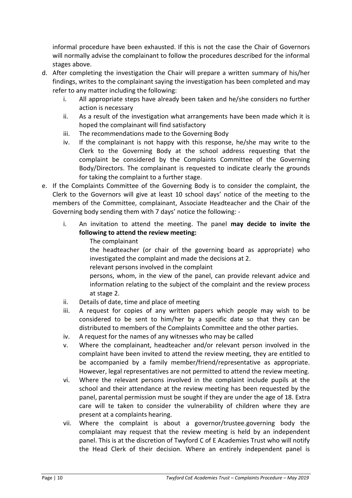informal procedure have been exhausted. If this is not the case the Chair of Governors will normally advise the complainant to follow the procedures described for the informal stages above.

- d. After completing the investigation the Chair will prepare a written summary of his/her findings, writes to the complainant saying the investigation has been completed and may refer to any matter including the following:
	- i. All appropriate steps have already been taken and he/she considers no further action is necessary
	- ii. As a result of the investigation what arrangements have been made which it is hoped the complainant will find satisfactory
	- iii. The recommendations made to the Governing Body
	- iv. If the complainant is not happy with this response, he/she may write to the Clerk to the Governing Body at the school address requesting that the complaint be considered by the Complaints Committee of the Governing Body/Directors. The complainant is requested to indicate clearly the grounds for taking the complaint to a further stage.
- e. If the Complaints Committee of the Governing Body is to consider the complaint, the Clerk to the Governors will give at least 10 school days' notice of the meeting to the members of the Committee, complainant, Associate Headteacher and the Chair of the Governing body sending them with 7 days' notice the following:
	- i. An invitation to attend the meeting. The panel **may decide to invite the following to attend the review meeting:**
		- The complainant

the headteacher (or chair of the governing board as appropriate) who investigated the complaint and made the decisions at 2.

relevant persons involved in the complaint

persons, whom, in the view of the panel, can provide relevant advice and information relating to the subject of the complaint and the review process at stage 2.

- ii. Details of date, time and place of meeting
- iii. A request for copies of any written papers which people may wish to be considered to be sent to him/her by a specific date so that they can be distributed to members of the Complaints Committee and the other parties.
- iv. A request for the names of any witnesses who may be called
- v. Where the complainant, headteacher and/or relevant person involved in the complaint have been invited to attend the review meeting, they are entitled to be accompanied by a family member/friend/representative as appropriate. However, legal representatives are not permitted to attend the review meeting.
- vi. Where the relevant persons involved in the complaint include pupils at the school and their attendance at the review meeting has been requested by the panel, parental permission must be sought if they are under the age of 18. Extra care will te taken to consider the vulnerability of children where they are present at a complaints hearing.
- vii. Where the complaint is about a governor/trustee.governing body the complaiant may request that the review meeting is held by an independent panel. This is at the discretion of Twyford C of E Academies Trust who will notify the Head Clerk of their decision. Where an entirely independent panel is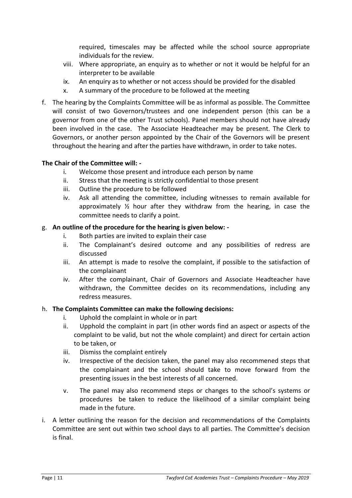required, timescales may be affected while the school source appropriate individuals for the review.

- viii. Where appropriate, an enquiry as to whether or not it would be helpful for an interpreter to be available
- ix. An enquiry as to whether or not access should be provided for the disabled
- x. A summary of the procedure to be followed at the meeting
- f. The hearing by the Complaints Committee will be as informal as possible. The Committee will consist of two Governors/trustees and one independent person (this can be a governor from one of the other Trust schools). Panel members should not have already been involved in the case. The Associate Headteacher may be present. The Clerk to Governors, or another person appointed by the Chair of the Governors will be present throughout the hearing and after the parties have withdrawn, in order to take notes.

#### **The Chair of the Committee will: -**

- i. Welcome those present and introduce each person by name
- ii. Stress that the meeting is strictly confidential to those present
- iii. Outline the procedure to be followed
- iv. Ask all attending the committee, including witnesses to remain available for approximately  $\frac{1}{2}$  hour after they withdraw from the hearing, in case the committee needs to clarify a point.

#### g. **An outline of the procedure for the hearing is given below: -**

- i. Both parties are invited to explain their case
- ii. The Complainant's desired outcome and any possibilities of redress are discussed
- iii. An attempt is made to resolve the complaint, if possible to the satisfaction of the complainant
- iv. After the complainant, Chair of Governors and Associate Headteacher have withdrawn, the Committee decides on its recommendations, including any redress measures.

#### h. **The Complaints Committee can make the following decisions:**

- i. Uphold the complaint in whole or in part
- ii. Upphold the complaint in part (in other words find an aspect or aspects of the complaint to be valid, but not the whole complaint) and direct for certain action to be taken, or
- iii. Dismiss the complaint entirely
- iv. Irrespective of the decision taken, the panel may also recommened steps that the complainant and the school should take to move forward from the presenting issues in the best interests of all concerned.
- v. The panel may also recommend steps or changes to the school's systems or procedures be taken to reduce the likelihood of a similar complaint being made in the future.
- i. A letter outlining the reason for the decision and recommendations of the Complaints Committee are sent out within two school days to all parties. The Committee's decision is final.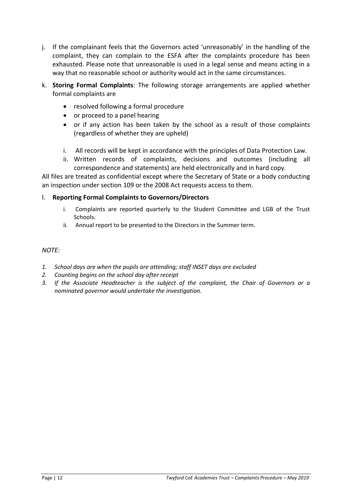- j. If the complainant feels that the Governors acted 'unreasonably' in the handling of the complaint, they can complain to the ESFA after the complaints procedure has been exhausted. Please note that unreasonable is used in a legal sense and means acting in a way that no reasonable school or authority would act in the same circumstances.
- k. **Storing Formal Complaints**: The following storage arrangements are applied whether formal complaints are
	- resolved following a formal procedure
	- or proceed to a panel hearing
	- or if any action has been taken by the school as a result of those complaints (regardless of whether they are upheld)
	- i. All records will be kept in accordance with the principles of Data Protection Law.
	- ii. Written records of complaints, decisions and outcomes (including all correspondence and statements) are held electronically and in hard copy.

All files are treated as confidential except where the Secretary of State or a body conducting an inspection under section 109 or the 2008 Act requests access to them.

#### l. **Reporting Formal Complaints to Governors/Directors**

- i. Complaints are reported quarterly to the Student Committee and LGB of the Trust Schools.
- ii. Annual report to be presented to the Directors in the Summer term.

#### *NOTE:*

- *1. School days are when the pupils are attending; staff INSET days are excluded*
- *2. Counting begins on the school day after receipt*
- *3. If the Associate Headteacher is the subject of the complaint, the Chair of Governors or a nominated governor would undertake the investigation.*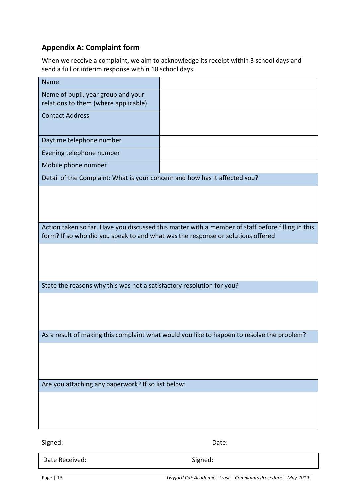# **Appendix A: Complaint form**

When we receive a complaint, we aim to acknowledge its receipt within 3 school days and send a full or interim response within 10 school days.

| <b>Name</b>                                                                                                                                                                          |  |  |
|--------------------------------------------------------------------------------------------------------------------------------------------------------------------------------------|--|--|
| Name of pupil, year group and your<br>relations to them (where applicable)                                                                                                           |  |  |
| <b>Contact Address</b>                                                                                                                                                               |  |  |
| Daytime telephone number                                                                                                                                                             |  |  |
| Evening telephone number                                                                                                                                                             |  |  |
| Mobile phone number                                                                                                                                                                  |  |  |
| Detail of the Complaint: What is your concern and how has it affected you?                                                                                                           |  |  |
|                                                                                                                                                                                      |  |  |
| Action taken so far. Have you discussed this matter with a member of staff before filling in this<br>form? If so who did you speak to and what was the response or solutions offered |  |  |
|                                                                                                                                                                                      |  |  |
| State the reasons why this was not a satisfactory resolution for you?                                                                                                                |  |  |
|                                                                                                                                                                                      |  |  |
| As a result of making this complaint what would you like to happen to resolve the problem?                                                                                           |  |  |
|                                                                                                                                                                                      |  |  |
| Are you attaching any paperwork? If so list below:                                                                                                                                   |  |  |
|                                                                                                                                                                                      |  |  |
|                                                                                                                                                                                      |  |  |

Signed: Date: Date: Date: Date: Date: Date: Date: Date: Date: Date: Date: Date: Date: Date: Date: Date: Date:  $\sim$ 

Date Received: Signed: Signed: Signed: Signed: Signed: Signed: Signed: Signed: Signed: Signed: Signed: Signed: Signed: Signed: Signed: Signed: Signed: Signed: Signed: Signed: Signed: Signed: Signed: Signed: Signed: Signed:

Page | 13 *Twyford CoE Academies Trust – Complaints Procedure – May 2019*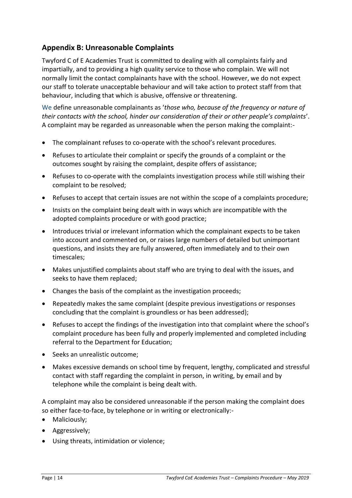# **Appendix B: Unreasonable Complaints**

Twyford C of E Academies Trust is committed to dealing with all complaints fairly and impartially, and to providing a high quality service to those who complain. We will not normally limit the contact complainants have with the school. However, we do not expect our staff to tolerate unacceptable behaviour and will take action to protect staff from that behaviour, including that which is abusive, offensive or threatening.

We define unreasonable complainants as '*those who, because of the frequency or nature of their contacts with the school, hinder our consideration of their or other people's complaints*'. A complaint may be regarded as unreasonable when the person making the complaint:-

- The complainant refuses to co-operate with the school's relevant procedures.
- Refuses to articulate their complaint or specify the grounds of a complaint or the outcomes sought by raising the complaint, despite offers of assistance;
- Refuses to co-operate with the complaints investigation process while still wishing their complaint to be resolved;
- Refuses to accept that certain issues are not within the scope of a complaints procedure;
- Insists on the complaint being dealt with in ways which are incompatible with the adopted complaints procedure or with good practice;
- Introduces trivial or irrelevant information which the complainant expects to be taken into account and commented on, or raises large numbers of detailed but unimportant questions, and insists they are fully answered, often immediately and to their own timescales;
- Makes unjustified complaints about staff who are trying to deal with the issues, and seeks to have them replaced;
- Changes the basis of the complaint as the investigation proceeds;
- Repeatedly makes the same complaint (despite previous investigations or responses concluding that the complaint is groundless or has been addressed);
- Refuses to accept the findings of the investigation into that complaint where the school's complaint procedure has been fully and properly implemented and completed including referral to the Department for Education;
- Seeks an unrealistic outcome:
- Makes excessive demands on school time by frequent, lengthy, complicated and stressful contact with staff regarding the complaint in person, in writing, by email and by telephone while the complaint is being dealt with.

A complaint may also be considered unreasonable if the person making the complaint does so either face-to-face, by telephone or in writing or electronically:-

- Maliciously;
- Aggressively;
- Using threats, intimidation or violence;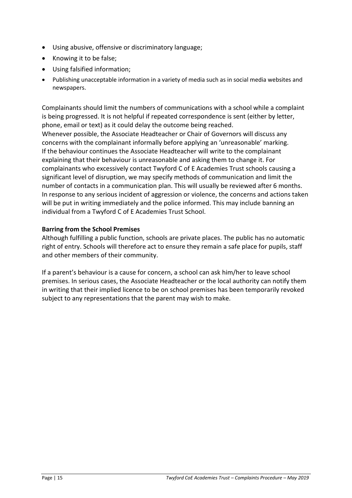- Using abusive, offensive or discriminatory language;
- Knowing it to be false;
- Using falsified information;
- Publishing unacceptable information in a variety of media such as in social media websites and newspapers.

Complainants should limit the numbers of communications with a school while a complaint is being progressed. It is not helpful if repeated correspondence is sent (either by letter, phone, email or text) as it could delay the outcome being reached.

Whenever possible, the Associate Headteacher or Chair of Governors will discuss any concerns with the complainant informally before applying an 'unreasonable' marking. If the behaviour continues the Associate Headteacher will write to the complainant explaining that their behaviour is unreasonable and asking them to change it. For complainants who excessively contact Twyford C of E Academies Trust schools causing a significant level of disruption, we may specify methods of communication and limit the number of contacts in a communication plan. This will usually be reviewed after 6 months. In response to any serious incident of aggression or violence, the concerns and actions taken will be put in writing immediately and the police informed. This may include banning an individual from a Twyford C of E Academies Trust School.

#### **Barring from the School Premises**

Although fulfilling a public function, schools are private places. The public has no automatic right of entry. Schools will therefore act to ensure they remain a safe place for pupils, staff and other members of their community.

If a parent's behaviour is a cause for concern, a school can ask him/her to leave school premises. In serious cases, the Associate Headteacher or the local authority can notify them in writing that their implied licence to be on school premises has been temporarily revoked subject to any representations that the parent may wish to make.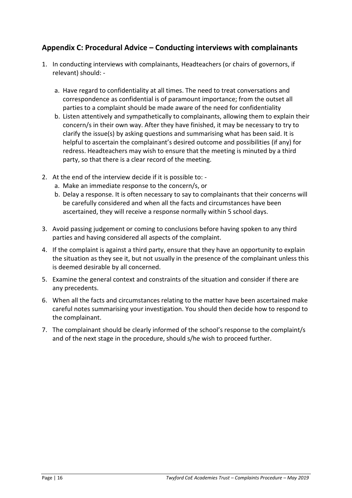### **Appendix C: Procedural Advice – Conducting interviews with complainants**

- 1. In conducting interviews with complainants, Headteachers (or chairs of governors, if relevant) should:
	- a. Have regard to confidentiality at all times. The need to treat conversations and correspondence as confidential is of paramount importance; from the outset all parties to a complaint should be made aware of the need for confidentiality
	- b. Listen attentively and sympathetically to complainants, allowing them to explain their concern/s in their own way. After they have finished, it may be necessary to try to clarify the issue(s) by asking questions and summarising what has been said. It is helpful to ascertain the complainant's desired outcome and possibilities (if any) for redress. Headteachers may wish to ensure that the meeting is minuted by a third party, so that there is a clear record of the meeting.
- 2. At the end of the interview decide if it is possible to:
	- a. Make an immediate response to the concern/s, or
	- b. Delay a response. It is often necessary to say to complainants that their concerns will be carefully considered and when all the facts and circumstances have been ascertained, they will receive a response normally within 5 school days.
- 3. Avoid passing judgement or coming to conclusions before having spoken to any third parties and having considered all aspects of the complaint.
- 4. If the complaint is against a third party, ensure that they have an opportunity to explain the situation as they see it, but not usually in the presence of the complainant unless this is deemed desirable by all concerned.
- 5. Examine the general context and constraints of the situation and consider if there are any precedents.
- 6. When all the facts and circumstances relating to the matter have been ascertained make careful notes summarising your investigation. You should then decide how to respond to the complainant.
- 7. The complainant should be clearly informed of the school's response to the complaint/s and of the next stage in the procedure, should s/he wish to proceed further.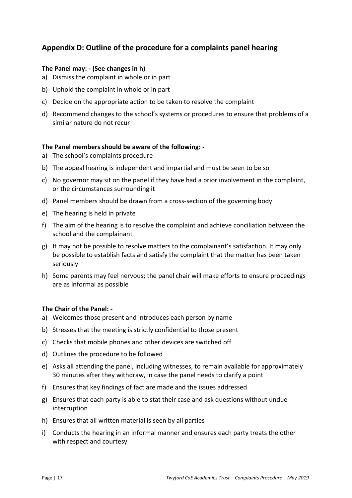# **Appendix D: Outline of the procedure for a complaints panel hearing**

#### **The Panel may: - (See changes in h)**

- a) Dismiss the complaint in whole or in part
- b) Uphold the complaint in whole or in part
- c) Decide on the appropriate action to be taken to resolve the complaint
- d) Recommend changes to the school's systems or procedures to ensure that problems of a similar nature do not recur

#### **The Panel members should be aware of the following: -**

- a) The school's complaints procedure
- b) The appeal hearing is independent and impartial and must be seen to be so
- c) No governor may sit on the panel if they have had a prior involvement in the complaint, or the circumstances surrounding it
- d) Panel members should be drawn from a cross-section of the governing body
- e) The hearing is held in private
- f) The aim of the hearing is to resolve the complaint and achieve conciliation between the school and the complainant
- g) It may not be possible to resolve matters to the complainant's satisfaction. It may only be possible to establish facts and satisfy the complaint that the matter has been taken seriously
- h) Some parents may feel nervous; the panel chair will make efforts to ensure proceedings are as informal as possible

#### **The Chair of the Panel: -**

- a) Welcomes those present and introduces each person by name
- b) Stresses that the meeting is strictly confidential to those present
- c) Checks that mobile phones and other devices are switched off
- d) Outlines the procedure to be followed
- e) Asks all attending the panel, including witnesses, to remain available for approximately 30 minutes after they withdraw, in case the panel needs to clarify a point
- f) Ensures that key findings of fact are made and the issues addressed
- g) Ensures that each party is able to stat their case and ask questions without undue interruption
- h) Ensures that all written material is seen by all parties
- i) Conducts the hearing in an informal manner and ensures each party treats the other with respect and courtesy